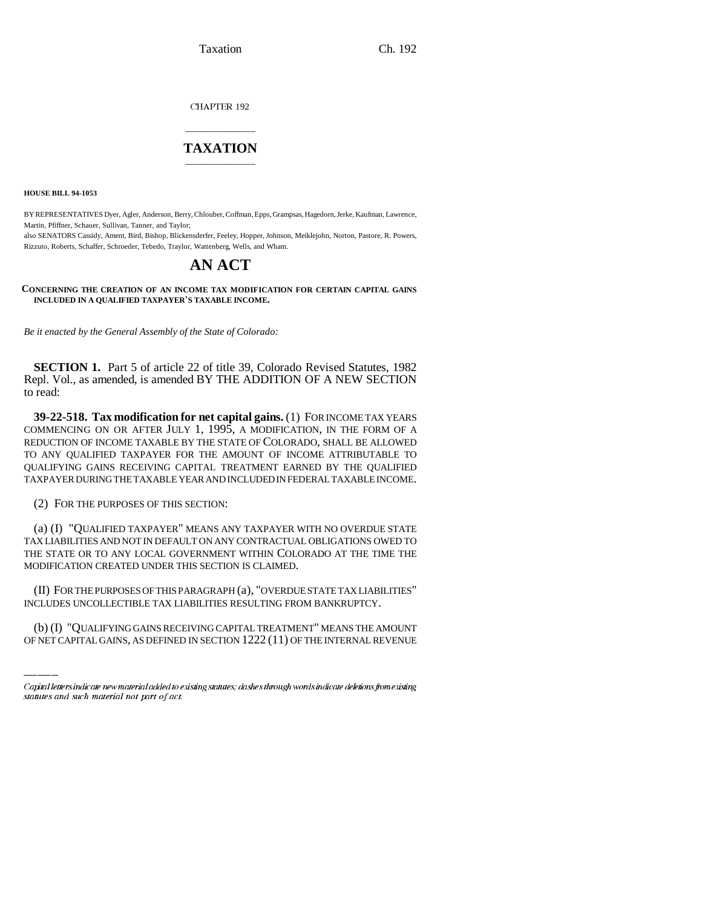Taxation Ch. 192

CHAPTER 192

## \_\_\_\_\_\_\_\_\_\_\_\_\_\_\_ **TAXATION** \_\_\_\_\_\_\_\_\_\_\_\_\_\_\_

**HOUSE BILL 94-1053**

BY REPRESENTATIVES Dyer, Agler, Anderson, Berry, Chlouber, Coffman, Epps, Grampsas, Hagedorn, Jerke, Kaufman, Lawrence, Martin, Pfiffner, Schauer, Sullivan, Tanner, and Taylor;

also SENATORS Cassidy, Ament, Bird, Bishop, Blickensderfer, Feeley, Hopper, Johnson, Meiklejohn, Norton, Pastore, R. Powers, Rizzuto, Roberts, Schaffer, Schroeder, Tebedo, Traylor, Wattenberg, Wells, and Wham.

## **AN ACT**

**CONCERNING THE CREATION OF AN INCOME TAX MODIFICATION FOR CERTAIN CAPITAL GAINS INCLUDED IN A QUALIFIED TAXPAYER'S TAXABLE INCOME.**

*Be it enacted by the General Assembly of the State of Colorado:*

**SECTION 1.** Part 5 of article 22 of title 39, Colorado Revised Statutes, 1982 Repl. Vol., as amended, is amended BY THE ADDITION OF A NEW SECTION to read:

**39-22-518. Tax modification for net capital gains.** (1) FOR INCOME TAX YEARS COMMENCING ON OR AFTER JULY 1, 1995, A MODIFICATION, IN THE FORM OF A REDUCTION OF INCOME TAXABLE BY THE STATE OF COLORADO, SHALL BE ALLOWED TO ANY QUALIFIED TAXPAYER FOR THE AMOUNT OF INCOME ATTRIBUTABLE TO QUALIFYING GAINS RECEIVING CAPITAL TREATMENT EARNED BY THE QUALIFIED TAXPAYER DURING THE TAXABLE YEAR AND INCLUDED IN FEDERAL TAXABLE INCOME.

(2) FOR THE PURPOSES OF THIS SECTION:

(a) (I) "QUALIFIED TAXPAYER" MEANS ANY TAXPAYER WITH NO OVERDUE STATE TAX LIABILITIES AND NOT IN DEFAULT ON ANY CONTRACTUAL OBLIGATIONS OWED TO THE STATE OR TO ANY LOCAL GOVERNMENT WITHIN COLORADO AT THE TIME THE MODIFICATION CREATED UNDER THIS SECTION IS CLAIMED.

(II) FOR THE PURPOSES OF THIS PARAGRAPH (a), "OVERDUE STATE TAX LIABILITIES" INCLUDES UNCOLLECTIBLE TAX LIABILITIES RESULTING FROM BANKRUPTCY.

(b) (I) "QUALIFYING GAINS RECEIVING CAPITAL TREATMENT" MEANS THE AMOUNT OF NET CAPITAL GAINS, AS DEFINED IN SECTION 1222 (11) OF THE INTERNAL REVENUE

Capital letters indicate new material added to existing statutes; dashes through words indicate deletions from existing statutes and such material not part of act.